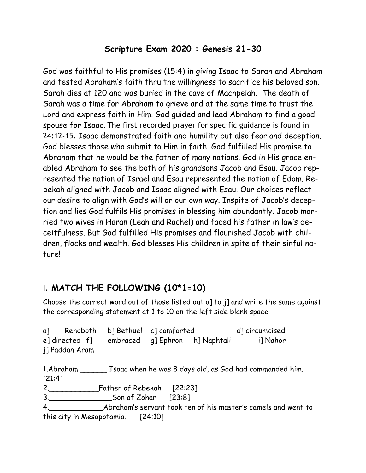#### **Scripture Exam 2020 : Genesis 21-30**

God was faithful to His promises (15:4) in giving Isaac to Sarah and Abraham and tested Abraham's faith thru the willingness to sacrifice his beloved son. Sarah dies at 120 and was buried in the cave of Machpelah. The death of Sarah was a time for Abraham to grieve and at the same time to trust the Lord and express faith in Him. God guided and lead Abraham to find a good spouse for Isaac. The first recorded prayer for specific guidance is found in 24:12-15. Isaac demonstrated faith and humility but also fear and deception. God blesses those who submit to Him in faith. God fulfilled His promise to Abraham that he would be the father of many nations. God in His grace enabled Abraham to see the both of his grandsons Jacob and Esau. Jacob represented the nation of Israel and Esau represented the nation of Edom. Rebekah aligned with Jacob and Isaac aligned with Esau. Our choices reflect our desire to align with God's will or our own way. Inspite of Jacob's deception and lies God fulfils His promises in blessing him abundantly. Jacob married two wives in Haran (Leah and Rachel) and faced his father in law's deceitfulness. But God fulfilled His promises and flourished Jacob with children, flocks and wealth. God blesses His children in spite of their sinful nature!

## I. **MATCH THE FOLLOWING (10\*1=10)**

Choose the correct word out of those listed out a] to j] and write the same against the corresponding statement at 1 to 10 on the left side blank space.

a] Rehoboth b] Bethuel c] comforted d] circumcised e] directed f] embraced g] Ephron h] Naphtali i] Nahor j] Paddan Aram

1.Abraham \_\_\_\_\_\_ Isaac when he was 8 days old, as God had commanded him. [21:4] 2.\_\_\_\_\_\_\_\_\_\_\_Father of Rebekah [22:23] 3.\_\_\_\_\_\_\_\_\_\_\_\_\_\_Son of Zohar [23:8] 4.\_\_\_\_\_\_\_\_\_\_\_\_Abraham's servant took ten of his master's camels and went to

this city in Mesopotamia. [24:10]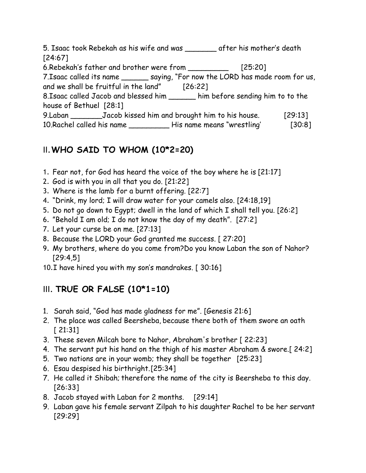5. Isaac took Rebekah as his wife and was \_\_\_\_\_\_\_ after his mother's death [24:67] 6.Rebekah's father and brother were from \_\_\_\_\_\_\_\_\_ [25:20] 7.Isaac called its name \_\_\_\_\_\_ saying, "For now the LORD has made room for us, and we shall be fruitful in the land" [26:22] 8.Isaac called Jacob and blessed him \_\_\_\_\_\_ him before sending him to to the house of Bethuel [28:1] 9.Laban \_\_\_\_\_\_\_Jacob kissed him and brought him to his house. [29:13] 10.Rachel called his name \_\_\_\_\_\_\_\_\_ His name means "wrestling' [30:8]

## II.**WHO SAID TO WHOM (10\*2=20)**

- 1. Fear not, for God has heard the voice of the boy where he is [21:17]
- 2. God is with you in all that you do. [21:22]
- 3. Where is the lamb for a burnt offering. [22:7]
- 4. "Drink, my lord; I will draw water for your camels also. [24:18,19]
- 5. Do not go down to Egypt; dwell in the land of which I shall tell you. [26:2]
- 6. "Behold I am old; I do not know the day of my death". [27:2]
- 7. Let your curse be on me. [27:13]
- 8. Because the LORD your God granted me success. [ 27:20]
- 9. My brothers, where do you come from?Do you know Laban the son of Nahor? [29:4,5]
- 10.I have hired you with my son's mandrakes. [ 30:16]

# III. **TRUE OR FALSE (10\*1=10)**

- 1. Sarah said, "God has made gladness for me". [Genesis 21:6]
- 2. The place was called Beersheba, because there both of them swore an oath [ 21:31]
- 3. These seven Milcah bore to Nahor, Abraham's brother [ 22:23]
- 4. The servant put his hand on the thigh of his master Abraham & swore.[ 24:2]
- 5. Two nations are in your womb; they shall be together [25:23]
- 6. Esau despised his birthright. [25:34]
- 7. He called it Shibah; therefore the name of the city is Beersheba to this day. [26:33]
- 8. Jacob stayed with Laban for 2 months. [29:14]
- 9. Laban gave his female servant Zilpah to his daughter Rachel to be her servant [29:29]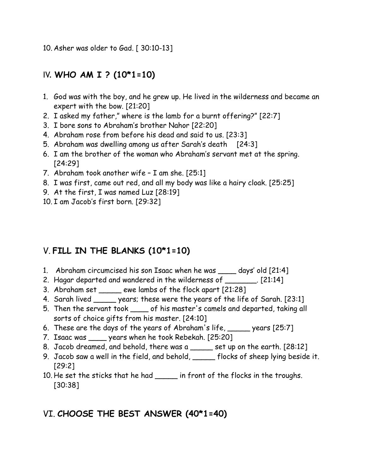10. Asher was older to Gad. [ 30:10-13]

### IV. **WHO AM I ? (10\*1=10)**

- 1. God was with the boy, and he grew up. He lived in the wilderness and became an expert with the bow. [21:20]
- 2. I asked my father," where is the lamb for a burnt offering?" [22:7]
- 3. I bore sons to Abraham's brother Nahor [22:20]
- 4. Abraham rose from before his dead and said to us. [23:3]
- 5. Abraham was dwelling among us after Sarah's death [24:3]
- 6. I am the brother of the woman who Abraham's servant met at the spring. [24:29]
- 7. Abraham took another wife I am she. [25:1]
- 8. I was first, came out red, and all my body was like a hairy cloak. [25:25]
- 9. At the first, I was named Luz [28:19]
- 10. I am Jacob's first born. [29:32]

## V. **FILL IN THE BLANKS (10\*1=10)**

- 1. Abraham circumcised his son Isaac when he was \_\_\_\_ days' old [21:4]
- 2. Hagar departed and wandered in the wilderness of \_\_\_\_\_\_\_\_. [21:14]
- 3. Abraham set \_\_\_\_\_ ewe lambs of the flock apart [21:28]
- 4. Sarah lived \_\_\_\_\_\_ years; these were the years of the life of Sarah. [23:1]
- 5. Then the servant took \_\_\_\_ of his master's camels and departed, taking all sorts of choice gifts from his master. [24:10]
- 6. These are the days of the years of Abraham's life, \_\_\_\_\_ years [25:7]
- 7. Isaac was \_\_\_\_ years when he took Rebekah. [25:20]
- 8. Jacob dreamed, and behold, there was a set up on the earth. [28:12]
- 9. Jacob saw a well in the field, and behold, \_\_\_\_\_ flocks of sheep lying beside it. [29:2]
- 10. He set the sticks that he had \_\_\_\_\_\_ in front of the flocks in the troughs. [30:38]

## VI. **CHOOSE THE BEST ANSWER (40\*1=40)**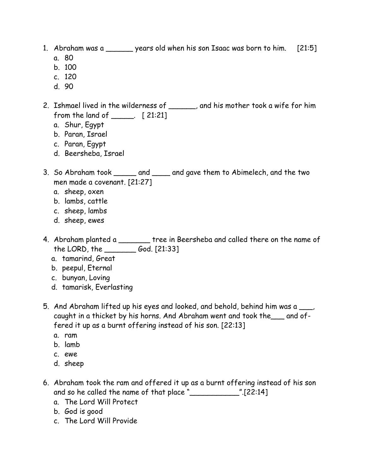- 1. Abraham was a \_\_\_\_\_\_ years old when his son Isaac was born to him. [21:5]
	- a. 80
	- b. 100
	- c. 120
	- d. 90
- 2. Ishmael lived in the wilderness of \_\_\_\_\_\_, and his mother took a wife for him from the land of \_\_\_\_\_. [ 21:21]
	- a. Shur, Egypt
	- b. Paran, Israel
	- c. Paran, Egypt
	- d. Beersheba, Israel
- 3. So Abraham took \_\_\_\_\_ and \_\_\_\_ and gave them to Abimelech, and the two men made a covenant. [21:27]
	- a. sheep, oxen
	- b. lambs, cattle
	- c. sheep, lambs
	- d. sheep, ewes
- 4. Abraham planted a \_\_\_\_\_\_\_ tree in Beersheba and called there on the name of the LORD, the \_\_\_\_\_\_\_ God. [21:33]
	- a. tamarind, Great
	- b. peepul, Eternal
	- c. bunyan, Loving
	- d. tamarisk, Everlasting
- 5. And Abraham lifted up his eyes and looked, and behold, behind him was a \_\_\_, caught in a thicket by his horns. And Abraham went and took the\_\_\_ and offered it up as a burnt offering instead of his son. [22:13]
	- a. ram
	- b. lamb
	- c. ewe
	- d. sheep
- 6. Abraham took the ram and offered it up as a burnt offering instead of his son and so he called the name of that place "\_\_\_\_\_\_\_\_\_\_\_".[22:14]
	- a. The Lord Will Protect
	- b. God is good
	- c. The Lord Will Provide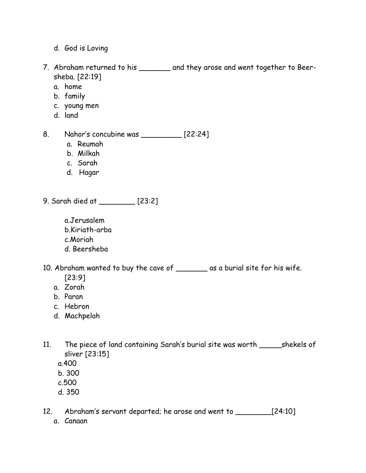- d. God is Loving
- 7. Abraham returned to his \_\_\_\_\_\_\_ and they arose and went together to Beersheba. [22:19]
	- a. home
	- b. family
	- c. young men
	- d. land
- 8. Nahor's concubine was [22:24]
	- a. Reumah
	- b. Milkah
	- c. Sarah
	- d. Hagar
- 9. Sarah died at \_\_\_\_\_\_\_\_ [23:2]
	- a.Jerusalem b.Kiriath-arba c.Moriah d. Beersheba
- 10. Abraham wanted to buy the cave of \_\_\_\_\_\_\_ as a burial site for his wife.
	- [23:9]
	- a. Zorah
	- b. Paran
	- c. Hebron
	- d. Machpelah
- 11. The piece of land containing Sarah's burial site was worth \_\_\_\_\_shekels of sliver [23:15]
	- a.400
	- b. 300
	- c.500
	- d. 350
- 12. Abraham's servant departed; he arose and went to \_\_\_\_\_\_\_\_[24:10] a. Canaan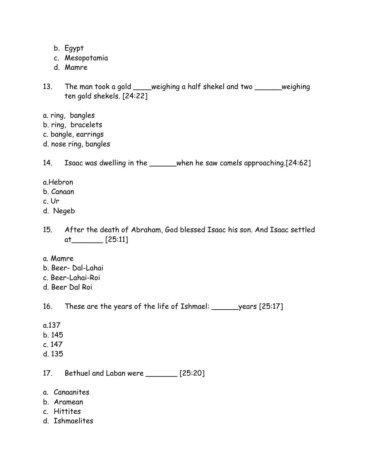- b. Egypt
- c. Mesopotamia
- d. Mamre
- 13. The man took a gold \_\_\_\_weighing a half shekel and two \_\_\_\_\_\_weighing ten gold shekels. [24:22]
- a. ring, bangles
- b. ring, bracelets
- c. bangle, earrings
- d. nose ring, bangles

14. Isaac was dwelling in the \_\_\_\_\_when he saw camels approaching.[24:62]

- a.Hebron
- b. Canaan
- c. Ur
- d. Negeb
- 15. After the death of Abraham, God blessed Isaac his son. And Isaac settled at\_\_\_\_\_\_\_ [25:11]
- a. Mamre
- b. Beer- Dal-Lahai
- c. Beer-Lahai-Roi
- d. Beer Dal Roi

16. These are the years of the life of Ishmael: \_\_\_\_\_\_years [25:17]

- a.137
- b. 145
- c. 147
- d. 135

17. Bethuel and Laban were \_\_\_\_\_\_\_ [25:20]

- a. Canaanites
- b. Aramean
- c. Hittites
- d. Ishmaelites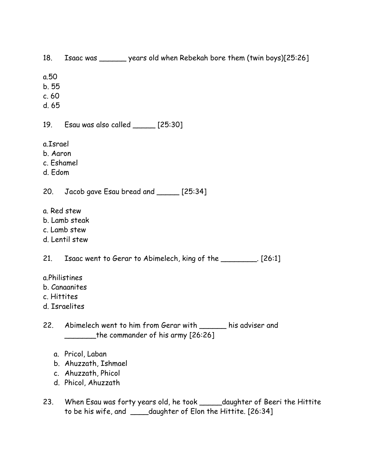18. Isaac was \_\_\_\_\_\_ years old when Rebekah bore them (twin boys)[25:26]

- a.50
- b. 55
- c. 60
- d. 65

19. Esau was also called \_\_\_\_\_ [25:30]

- a.Israel
- b. Aaron
- c. Eshamel
- d. Edom

20. Jacob gave Esau bread and \_\_\_\_\_ [25:34]

- a. Red stew
- b. Lamb steak
- c. Lamb stew
- d. Lentil stew

21. Isaac went to Gerar to Abimelech, king of the \_\_\_\_\_\_\_\_. [26:1]

- a.Philistines
- b. Canaanites
- c. Hittites
- d. Israelites
- 22. Abimelech went to him from Gerar with \_\_\_\_\_\_ his adviser and \_\_\_\_\_\_\_the commander of his army [26:26]
	- a. Pricol, Laban
	- b. Ahuzzath, Ishmael
	- c. Ahuzzath, Phicol
	- d. Phicol, Ahuzzath
- 23. When Esau was forty years old, he took \_\_\_\_\_daughter of Beeri the Hittite to be his wife, and \_\_\_\_daughter of Elon the Hittite. [26:34]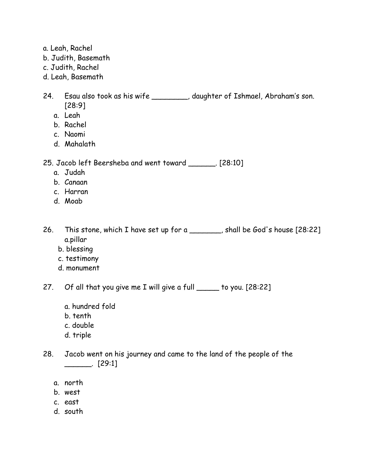- a. Leah, Rachel
- b. Judith, Basemath
- c. Judith, Rachel
- d. Leah, Basemath
- 24. Esau also took as his wife \_\_\_\_\_\_\_\_, daughter of Ishmael, Abraham's son. [28:9]
	- a. Leah
	- b. Rachel
	- c. Naomi
	- d. Mahalath

25. Jacob left Beersheba and went toward \_\_\_\_\_\_. [28:10]

- a. Judah
- b. Canaan
- c. Harran
- d. Moab

26. This stone, which I have set up for a \_\_\_\_\_\_, shall be God's house [28:22] a.pillar

- b. blessing
- c. testimony
- d. monument

27. Of all that you give me I will give a full \_\_\_\_\_ to you. [28:22]

- a. hundred fold
- b. tenth
- c. double
- d. triple
- 28. Jacob went on his journey and came to the land of the people of the  $\frac{1}{29:1}$ 
	- a. north
	- b. west
	- c. east
	- d. south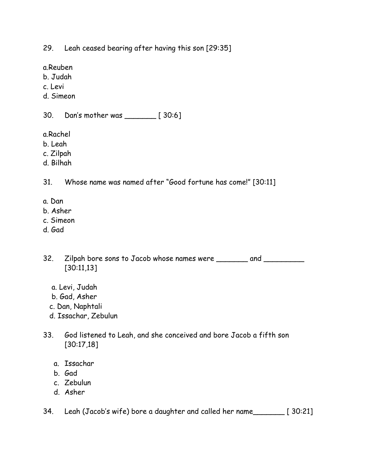29. Leah ceased bearing after having this son [29:35]

a.Reuben

b. Judah

c. Levi

d. Simeon

30. Dan's mother was \_\_\_\_\_\_\_ [ 30:6]

a.Rachel

- b. Leah
- c. Zilpah
- d. Bilhah

31. Whose name was named after "Good fortune has come!" [30:11]

- a. Dan
- b. Asher
- c. Simeon
- d. Gad

32. Zilpah bore sons to Jacob whose names were \_\_\_\_\_\_\_ and \_\_\_\_\_\_\_\_ [30:11,13]

- a. Levi, Judah
- b. Gad, Asher
- c. Dan, Naphtali
- d. Issachar, Zebulun
- 33. God listened to Leah, and she conceived and bore Jacob a fifth son [30:17,18]
	- a. Issachar
	- b. Gad
	- c. Zebulun
	- d. Asher

34. Leah (Jacob's wife) bore a daughter and called her name\_\_\_\_\_\_\_ [ 30:21]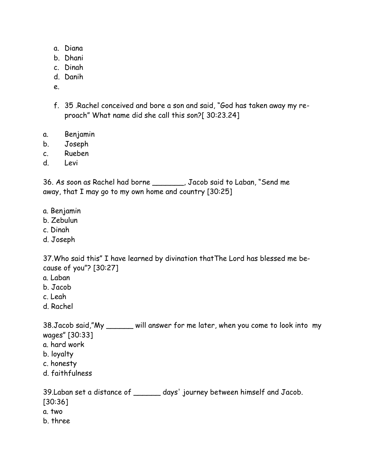- a. Diana
- b. Dhani
- c. Dinah
- d. Danih
- e.
- f. 35 .Rachel conceived and bore a son and said, "God has taken away my reproach" What name did she call this son?[ 30:23.24]
- a. Benjamin
- b. Joseph
- c. Rueben
- d. Levi

36. As soon as Rachel had borne \_\_\_\_\_\_\_, Jacob said to Laban, "Send me away, that I may go to my own home and country [30:25]

- a. Benjamin
- b. Zebulun
- c. Dinah
- d. Joseph

37.Who said this" I have learned by divination thatThe Lord has blessed me because of you"? [30:27]

- a. Laban
- b. Jacob
- c. Leah
- d. Rachel

38.Jacob said,"My \_\_\_\_\_\_ will answer for me later, when you come to look into my wages" [30:33]

- a. hard work
- b. loyalty
- c. honesty
- d. faithfulness

39.Laban set a distance of \_\_\_\_\_\_ days' journey between himself and Jacob. [30:36] a. two b. three